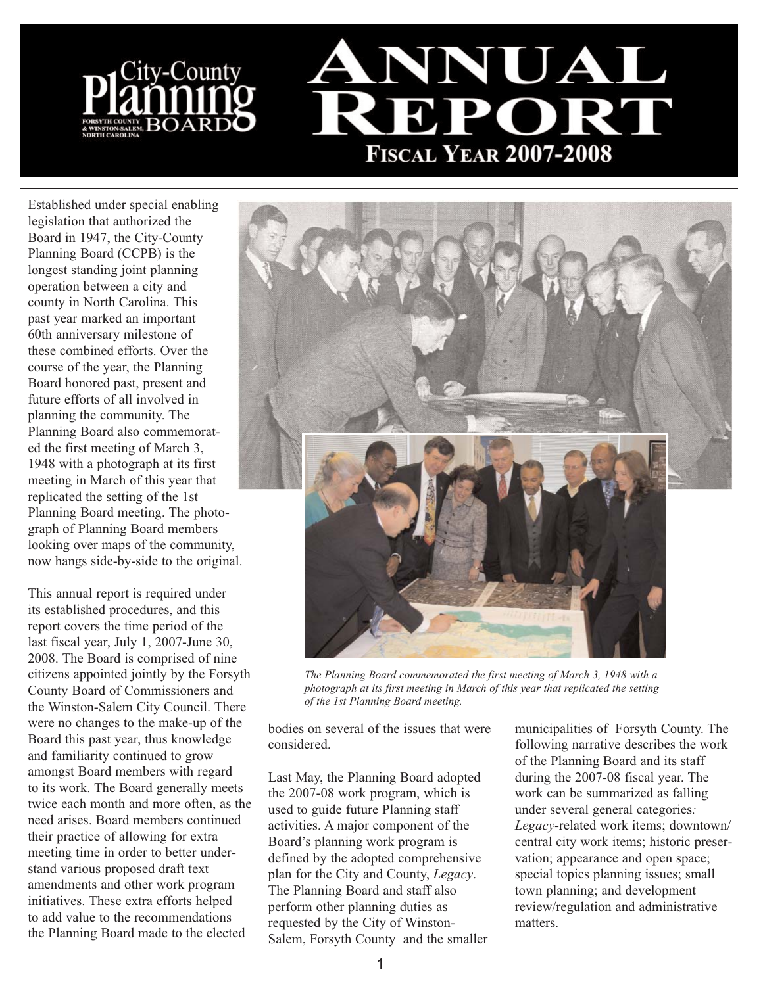

Established under special enabling legislation that authorized the Board in 1947, the City-County Planning Board (CCPB) is the longest standing joint planning operation between a city and county in North Carolina. This past year marked an important 60th anniversary milestone of these combined efforts. Over the course of the year, the Planning Board honored past, present and future efforts of all involved in planning the community. The Planning Board also commemorated the first meeting of March 3, 1948 with a photograph at its first meeting in March of this year that replicated the setting of the 1st Planning Board meeting. The photograph of Planning Board members looking over maps of the community, now hangs side-by-side to the original.

This annual report is required under its established procedures, and this report covers the time period of the last fiscal year, July 1, 2007-June 30, 2008. The Board is comprised of nine citizens appointed jointly by the Forsyth County Board of Commissioners and the Winston-Salem City Council. There were no changes to the make-up of the Board this past year, thus knowledge and familiarity continued to grow amongst Board members with regard to its work. The Board generally meets twice each month and more often, as the need arises. Board members continued their practice of allowing for extra meeting time in order to better understand various proposed draft text amendments and other work program initiatives. These extra efforts helped to add value to the recommendations the Planning Board made to the elected



*The Planning Board commemorated the first meeting of March 3, 1948 with a photograph at its first meeting in March of this year that replicated the setting of the 1st Planning Board meeting.*

bodies on several of the issues that were considered.

Last May, the Planning Board adopted the 2007-08 work program, which is used to guide future Planning staff activities. A major component of the Board's planning work program is defined by the adopted comprehensive plan for the City and County, *Legacy*. The Planning Board and staff also perform other planning duties as requested by the City of Winston-Salem, Forsyth County and the smaller

municipalities of Forsyth County. The following narrative describes the work of the Planning Board and its staff during the 2007-08 fiscal year. The work can be summarized as falling under several general categories*: Legacy*-related work items; downtown/ central city work items; historic preservation; appearance and open space; special topics planning issues; small town planning; and development review/regulation and administrative matters.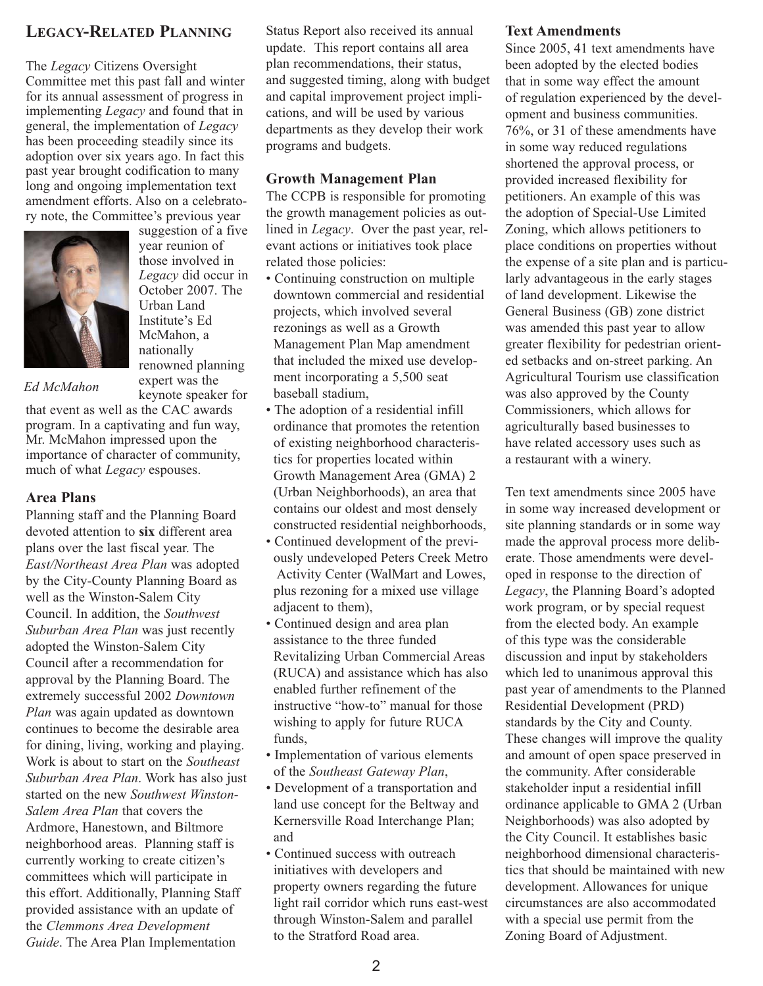## **LEGACY-RELATED PLANNING**

The *Legacy* Citizens Oversight Committee met this past fall and winter for its annual assessment of progress in implementing *Legacy* and found that in general, the implementation of *Legacy* has been proceeding steadily since its adoption over six years ago. In fact this past year brought codification to many long and ongoing implementation text amendment efforts. Also on a celebratory note, the Committee's previous year



year reunion of those involved in *Legacy* did occur in October 2007. The Urban Land Institute's Ed McMahon, a nationally renowned planning expert was the

suggestion of a five

#### *Ed McMahon*

keynote speaker for that event as well as the CAC awards program. In a captivating and fun way, Mr. McMahon impressed upon the importance of character of community, much of what *Legacy* espouses.

#### **Area Plans**

Planning staff and the Planning Board devoted attention to **six** different area plans over the last fiscal year. The *East/Northeast Area Plan* was adopted by the City-County Planning Board as well as the Winston-Salem City Council. In addition, the *Southwest Suburban Area Plan* was just recently adopted the Winston-Salem City Council after a recommendation for approval by the Planning Board. The extremely successful 2002 *Downtown Plan* was again updated as downtown continues to become the desirable area for dining, living, working and playing. Work is about to start on the *Southeast Suburban Area Plan*. Work has also just started on the new *Southwest Winston-Salem Area Plan* that covers the Ardmore, Hanestown, and Biltmore neighborhood areas. Planning staff is currently working to create citizen's committees which will participate in this effort. Additionally, Planning Staff provided assistance with an update of the *Clemmons Area Development Guide*. The Area Plan Implementation

Status Report also received its annual update. This report contains all area plan recommendations, their status, and suggested timing, along with budget and capital improvement project implications, and will be used by various departments as they develop their work programs and budgets.

#### **Growth Management Plan**

The CCPB is responsible for promoting the growth management policies as outlined in *Leg*a*cy*. Over the past year, relevant actions or initiatives took place related those policies:

- Continuing construction on multiple downtown commercial and residential projects, which involved several rezonings as well as a Growth Management Plan Map amendment that included the mixed use development incorporating a 5,500 seat baseball stadium,
- The adoption of a residential infill ordinance that promotes the retention of existing neighborhood characteristics for properties located within Growth Management Area (GMA) 2 (Urban Neighborhoods), an area that contains our oldest and most densely constructed residential neighborhoods,
- Continued development of the previously undeveloped Peters Creek Metro Activity Center (WalMart and Lowes, plus rezoning for a mixed use village adjacent to them),
- Continued design and area plan assistance to the three funded Revitalizing Urban Commercial Areas (RUCA) and assistance which has also enabled further refinement of the instructive "how-to" manual for those wishing to apply for future RUCA funds,
- Implementation of various elements of the *Southeast Gateway Plan*,
- Development of a transportation and land use concept for the Beltway and Kernersville Road Interchange Plan; and
- Continued success with outreach initiatives with developers and property owners regarding the future light rail corridor which runs east-west through Winston-Salem and parallel to the Stratford Road area.

#### **Text Amendments**

Since 2005, 41 text amendments have been adopted by the elected bodies that in some way effect the amount of regulation experienced by the development and business communities. 76%, or 31 of these amendments have in some way reduced regulations shortened the approval process, or provided increased flexibility for petitioners. An example of this was the adoption of Special-Use Limited Zoning, which allows petitioners to place conditions on properties without the expense of a site plan and is particularly advantageous in the early stages of land development. Likewise the General Business (GB) zone district was amended this past year to allow greater flexibility for pedestrian oriented setbacks and on-street parking. An Agricultural Tourism use classification was also approved by the County Commissioners, which allows for agriculturally based businesses to have related accessory uses such as a restaurant with a winery.

Ten text amendments since 2005 have in some way increased development or site planning standards or in some way made the approval process more deliberate. Those amendments were developed in response to the direction of *Legacy*, the Planning Board's adopted work program, or by special request from the elected body. An example of this type was the considerable discussion and input by stakeholders which led to unanimous approval this past year of amendments to the Planned Residential Development (PRD) standards by the City and County. These changes will improve the quality and amount of open space preserved in the community. After considerable stakeholder input a residential infill ordinance applicable to GMA 2 (Urban Neighborhoods) was also adopted by the City Council. It establishes basic neighborhood dimensional characteristics that should be maintained with new development. Allowances for unique circumstances are also accommodated with a special use permit from the Zoning Board of Adjustment.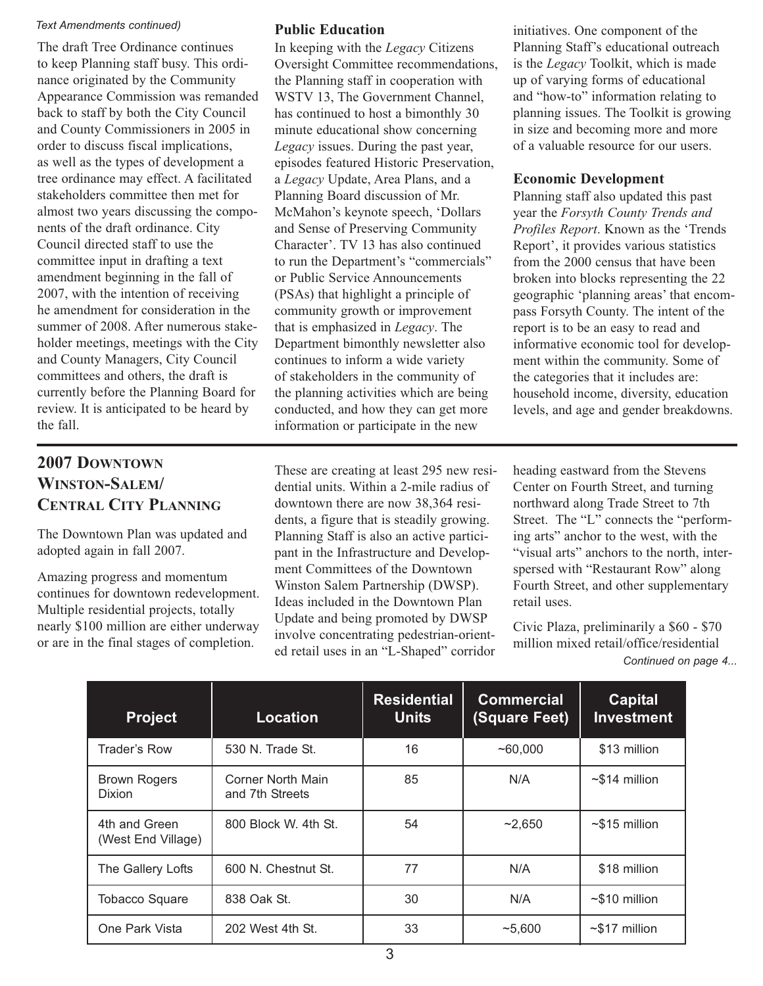#### *Text Amendments continued)*

The draft Tree Ordinance continues to keep Planning staff busy. This ordinance originated by the Community Appearance Commission was remanded back to staff by both the City Council and County Commissioners in 2005 in order to discuss fiscal implications, as well as the types of development a tree ordinance may effect. A facilitated stakeholders committee then met for almost two years discussing the components of the draft ordinance. City Council directed staff to use the committee input in drafting a text amendment beginning in the fall of 2007, with the intention of receiving he amendment for consideration in the summer of 2008. After numerous stakeholder meetings, meetings with the City and County Managers, City Council committees and others, the draft is currently before the Planning Board for review. It is anticipated to be heard by the fall.

### **Public Education**

In keeping with the *Legacy* Citizens Oversight Committee recommendations, the Planning staff in cooperation with WSTV 13, The Government Channel, has continued to host a bimonthly 30 minute educational show concerning *Legacy* issues. During the past year, episodes featured Historic Preservation, a *Legacy* Update, Area Plans, and a Planning Board discussion of Mr. McMahon's keynote speech, 'Dollars and Sense of Preserving Community Character'. TV 13 has also continued to run the Department's "commercials" or Public Service Announcements (PSAs) that highlight a principle of community growth or improvement that is emphasized in *Legacy*. The Department bimonthly newsletter also continues to inform a wide variety of stakeholders in the community of the planning activities which are being conducted, and how they can get more information or participate in the new

**2007 DOWNTOWN WINSTON-SALEM/ CENTRAL CITY PLANNING**

The Downtown Plan was updated and adopted again in fall 2007.

Amazing progress and momentum continues for downtown redevelopment. Multiple residential projects, totally nearly \$100 million are either underway or are in the final stages of completion.

These are creating at least 295 new residential units. Within a 2-mile radius of downtown there are now 38,364 residents, a figure that is steadily growing. Planning Staff is also an active participant in the Infrastructure and Development Committees of the Downtown Winston Salem Partnership (DWSP). Ideas included in the Downtown Plan Update and being promoted by DWSP involve concentrating pedestrian-oriented retail uses in an "L-Shaped" corridor

initiatives. One component of the Planning Staff's educational outreach is the *Legacy* Toolkit, which is made up of varying forms of educational and "how-to" information relating to planning issues. The Toolkit is growing in size and becoming more and more of a valuable resource for our users.

### **Economic Development**

Planning staff also updated this past year the *Forsyth County Trends and Profiles Report*. Known as the 'Trends Report', it provides various statistics from the 2000 census that have been broken into blocks representing the 22 geographic 'planning areas' that encompass Forsyth County. The intent of the report is to be an easy to read and informative economic tool for development within the community. Some of the categories that it includes are: household income, diversity, education levels, and age and gender breakdowns.

heading eastward from the Stevens Center on Fourth Street, and turning northward along Trade Street to 7th Street. The "L" connects the "performing arts" anchor to the west, with the "visual arts" anchors to the north, interspersed with "Restaurant Row" along Fourth Street, and other supplementary retail uses.

Civic Plaza, preliminarily a \$60 - \$70 million mixed retail/office/residential *Continued on page 4...*

| <b>Project</b>                       | <b>Location</b>                      | <b>Residential</b><br><b>Units</b> | <b>Commercial</b><br>(Square Feet) | <b>Capital</b><br><b>Investment</b> |
|--------------------------------------|--------------------------------------|------------------------------------|------------------------------------|-------------------------------------|
| Trader's Row                         | 530 N. Trade St.                     | 16                                 | ~160,000                           | \$13 million                        |
| <b>Brown Rogers</b><br><b>Dixion</b> | Corner North Main<br>and 7th Streets | 85                                 | N/A                                | $~514$ million                      |
| 4th and Green<br>(West End Village)  | 800 Block W. 4th St.                 | 54                                 | $-2,650$                           | $~515$ million                      |
| The Gallery Lofts                    | 600 N. Chestnut St.                  | 77                                 | N/A                                | \$18 million                        |
| <b>Tobacco Square</b>                | 838 Oak St.                          | 30                                 | N/A                                | $~510$ million                      |
| One Park Vista                       | 202 West 4th St.                     | 33                                 | ~5.600                             | $\sim$ \$17 million                 |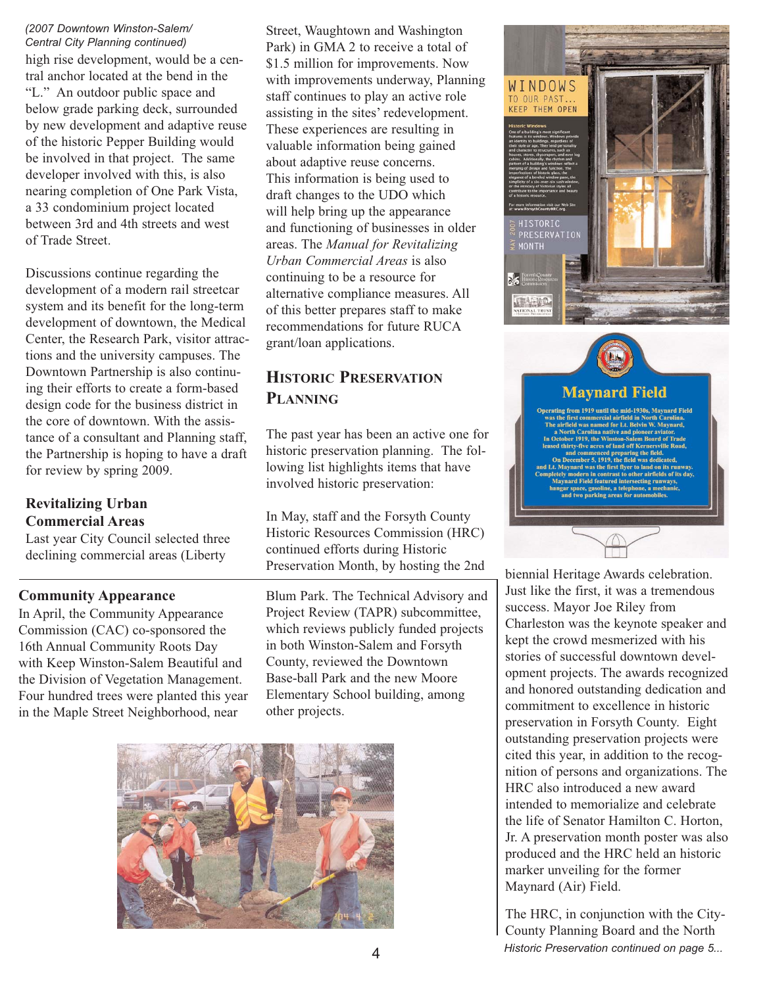high rise development, would be a central anchor located at the bend in the "L." An outdoor public space and below grade parking deck, surrounded by new development and adaptive reuse of the historic Pepper Building would be involved in that project. The same developer involved with this, is also nearing completion of One Park Vista, a 33 condominium project located between 3rd and 4th streets and west of Trade Street. *(2007 Downtown Winston-Salem/ Central City Planning continued)*

Discussions continue regarding the development of a modern rail streetcar system and its benefit for the long-term development of downtown, the Medical Center, the Research Park, visitor attractions and the university campuses. The Downtown Partnership is also continuing their efforts to create a form-based design code for the business district in the core of downtown. With the assistance of a consultant and Planning staff, the Partnership is hoping to have a draft for review by spring 2009.

## **Revitalizing Urban Commercial Areas**

Last year City Council selected three declining commercial areas (Liberty

## **Community Appearance**

In April, the Community Appearance Commission (CAC) co-sponsored the 16th Annual Community Roots Day with Keep Winston-Salem Beautiful and the Division of Vegetation Management. Four hundred trees were planted this year in the Maple Street Neighborhood, near

Street, Waughtown and Washington Park) in GMA 2 to receive a total of \$1.5 million for improvements. Now with improvements underway, Planning staff continues to play an active role assisting in the sites' redevelopment. These experiences are resulting in valuable information being gained about adaptive reuse concerns. This information is being used to draft changes to the UDO which will help bring up the appearance and functioning of businesses in older areas. The *Manual for Revitalizing Urban Commercial Areas* is also continuing to be a resource for alternative compliance measures. All of this better prepares staff to make recommendations for future RUCA grant/loan applications.

## **HISTORIC PRESERVATION PLANNING**

The past year has been an active one for historic preservation planning. The following list highlights items that have involved historic preservation:

In May, staff and the Forsyth County Historic Resources Commission (HRC) continued efforts during Historic Preservation Month, by hosting the 2nd<br>biennial Heritage Awards celebration.

Blum Park. The Technical Advisory and Project Review (TAPR) subcommittee, which reviews publicly funded projects in both Winston-Salem and Forsyth County, reviewed the Downtown Base-ball Park and the new Moore Elementary School building, among other projects.





# **Maynard Field**

m 1919 until the mid-1930s, Maynard Field

Just like the first, it was a tremendous success. Mayor Joe Riley from Charleston was the keynote speaker and kept the crowd mesmerized with his stories of successful downtown development projects. The awards recognized and honored outstanding dedication and commitment to excellence in historic preservation in Forsyth County. Eight outstanding preservation projects were cited this year, in addition to the recognition of persons and organizations. The HRC also introduced a new award intended to memorialize and celebrate the life of Senator Hamilton C. Horton, Jr. A preservation month poster was also produced and the HRC held an historic marker unveiling for the former Maynard (Air) Field.

The HRC, in conjunction with the City-County Planning Board and the North 4 *Historic Preservation continued on page 5...*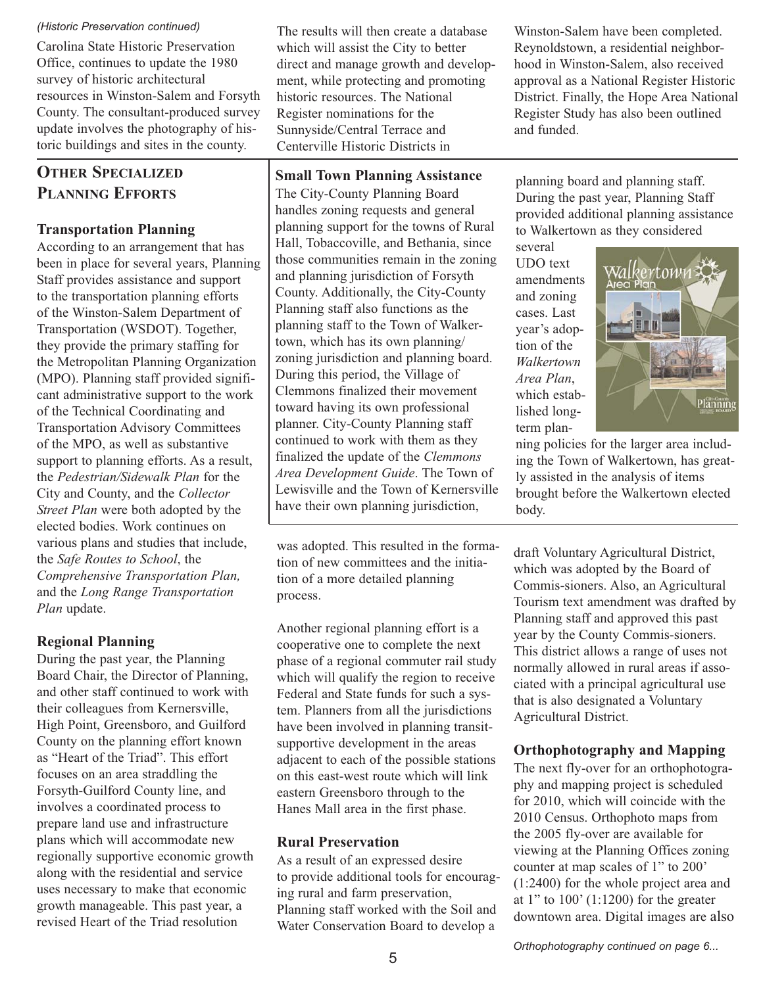#### *(Historic Preservation continued)*

Carolina State Historic Preservation Office, continues to update the 1980 survey of historic architectural resources in Winston-Salem and Forsyth County. The consultant-produced survey update involves the photography of historic buildings and sites in the county.

# **OTHER SPECIALIZED PLANNING EFFORTS**

## **Transportation Planning**

According to an arrangement that has been in place for several years, Planning Staff provides assistance and support to the transportation planning efforts of the Winston-Salem Department of Transportation (WSDOT). Together, they provide the primary staffing for the Metropolitan Planning Organization (MPO). Planning staff provided significant administrative support to the work of the Technical Coordinating and Transportation Advisory Committees of the MPO, as well as substantive support to planning efforts. As a result, the *Pedestrian/Sidewalk Plan* for the City and County, and the *Collector Street Plan* were both adopted by the elected bodies. Work continues on various plans and studies that include, the *Safe Routes to School*, the *Comprehensive Transportation Plan,* and the *Long Range Transportation Plan* update.

## **Regional Planning**

During the past year, the Planning Board Chair, the Director of Planning, and other staff continued to work with their colleagues from Kernersville, High Point, Greensboro, and Guilford County on the planning effort known as "Heart of the Triad". This effort focuses on an area straddling the Forsyth-Guilford County line, and involves a coordinated process to prepare land use and infrastructure plans which will accommodate new regionally supportive economic growth along with the residential and service uses necessary to make that economic growth manageable. This past year, a revised Heart of the Triad resolution

The results will then create a database which will assist the City to better direct and manage growth and development, while protecting and promoting historic resources. The National Register nominations for the Sunnyside/Central Terrace and Centerville Historic Districts in

## **Small Town Planning Assistance**

The City-County Planning Board handles zoning requests and general planning support for the towns of Rural Hall, Tobaccoville, and Bethania, since those communities remain in the zoning and planning jurisdiction of Forsyth County. Additionally, the City-County Planning staff also functions as the planning staff to the Town of Walkertown, which has its own planning/ zoning jurisdiction and planning board. During this period, the Village of Clemmons finalized their movement toward having its own professional planner. City-County Planning staff continued to work with them as they finalized the update of the *Clemmons Area Development Guide*. The Town of Lewisville and the Town of Kernersville have their own planning jurisdiction,

was adopted. This resulted in the formation of new committees and the initiation of a more detailed planning process.

Another regional planning effort is a cooperative one to complete the next phase of a regional commuter rail study which will qualify the region to receive Federal and State funds for such a system. Planners from all the jurisdictions have been involved in planning transitsupportive development in the areas adjacent to each of the possible stations on this east-west route which will link eastern Greensboro through to the Hanes Mall area in the first phase.

## **Rural Preservation**

As a result of an expressed desire to provide additional tools for encouraging rural and farm preservation, Planning staff worked with the Soil and Water Conservation Board to develop a

Winston-Salem have been completed. Reynoldstown, a residential neighborhood in Winston-Salem, also received approval as a National Register Historic District. Finally, the Hope Area National Register Study has also been outlined and funded.

planning board and planning staff. During the past year, Planning Staff provided additional planning assistance to Walkertown as they considered

several UDO text amendments and zoning cases. Last year's adoption of the *Walkertown Area Plan*, which established longterm plan-



ning policies for the larger area including the Town of Walkertown, has greatly assisted in the analysis of items brought before the Walkertown elected body.

draft Voluntary Agricultural District, which was adopted by the Board of Commis-sioners. Also, an Agricultural Tourism text amendment was drafted by Planning staff and approved this past year by the County Commis-sioners. This district allows a range of uses not normally allowed in rural areas if associated with a principal agricultural use that is also designated a Voluntary Agricultural District.

## **Orthophotography and Mapping**

The next fly-over for an orthophotography and mapping project is scheduled for 2010, which will coincide with the 2010 Census. Orthophoto maps from the 2005 fly-over are available for viewing at the Planning Offices zoning counter at map scales of 1" to 200' (1:2400) for the whole project area and at 1" to  $100'$  (1:1200) for the greater downtown area. Digital images are also

*Orthophotography continued on page 6...*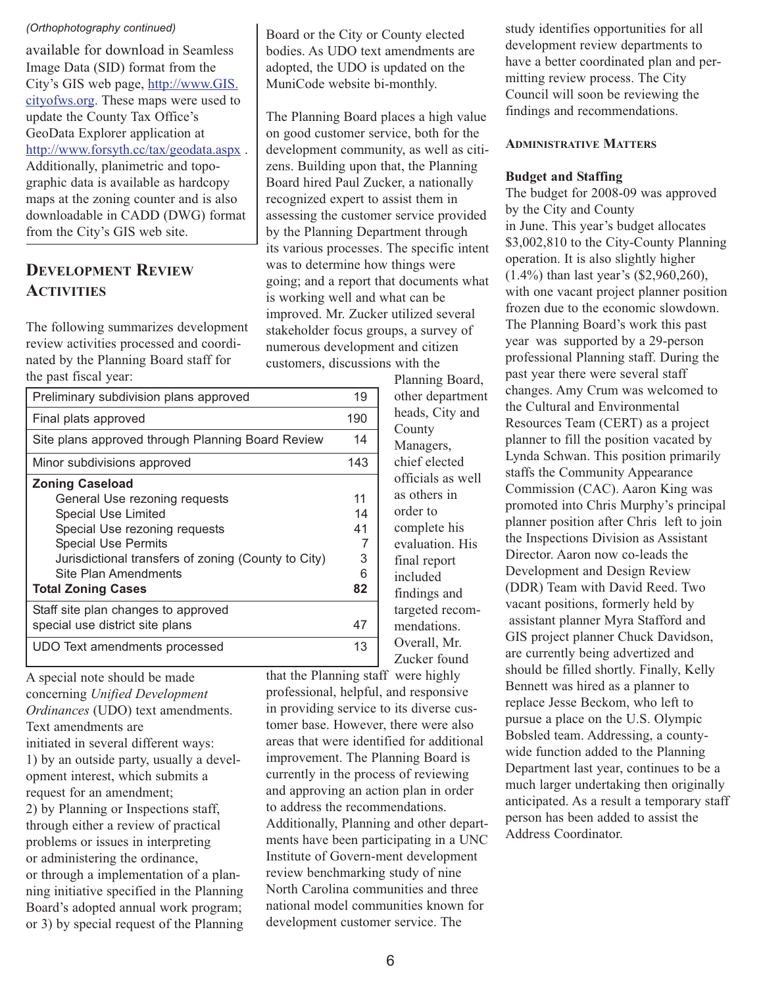#### *(Orthophotography continued)*

available for download in Seamless Image Data (SID) format from the City's GIS web page, http://www.GIS. cityofws.org. These maps were used to update the County Tax Office's GeoData Explorer application at http://www.forsyth.cc/tax/geodata.aspx . Additionally, planimetric and topographic data is available as hardcopy maps at the zoning counter and is also downloadable in CADD (DWG) format from the City's GIS web site.

## **DEVELOPMENT REVIEW ACTIVITIES**

The following summarizes development review activities processed and coordinated by the Planning Board staff for the past fiscal year:

| Preliminary subdivision plans approved              |     |  |
|-----------------------------------------------------|-----|--|
| Final plats approved                                | 190 |  |
| Site plans approved through Planning Board Review   |     |  |
| Minor subdivisions approved                         | 143 |  |
| <b>Zoning Caseload</b>                              |     |  |
| General Use rezoning requests                       | 11  |  |
| Special Use Limited                                 | 14  |  |
| Special Use rezoning requests                       |     |  |
| <b>Special Use Permits</b>                          |     |  |
| Jurisdictional transfers of zoning (County to City) | 3   |  |
| Site Plan Amendments                                | 6   |  |
| <b>Total Zoning Cases</b>                           | 82  |  |
| Staff site plan changes to approved                 |     |  |
| special use district site plans                     | 47  |  |
| UDO Text amendments processed                       | 13  |  |

A special note should be made concerning *Unified Development Ordinances* (UDO) text amendments. Text amendments are initiated in several different ways: 1) by an outside party, usually a development interest, which submits a request for an amendment; 2) by Planning or Inspections staff, through either a review of practical problems or issues in interpreting or administering the ordinance, or through a implementation of a planning initiative specified in the Planning Board's adopted annual work program; or 3) by special request of the Planning

Board or the City or County elected bodies. As UDO text amendments are adopted, the UDO is updated on the MuniCode website bi-monthly.

The Planning Board places a high value on good customer service, both for the development community, as well as citizens. Building upon that, the Planning Board hired Paul Zucker, a nationally recognized expert to assist them in assessing the customer service provided by the Planning Department through its various processes. The specific intent was to determine how things were going; and a report that documents what is working well and what can be improved. Mr. Zucker utilized several stakeholder focus groups, a survey of numerous development and citizen customers, discussions with the

> Planning Board, other department heads, City and County Managers, chief elected officials as well as others in order to complete his evaluation. His final report included findings and targeted recommendations. Overall, Mr. Zucker found

that the Planning staff were highly professional, helpful, and responsive in providing service to its diverse customer base. However, there were also areas that were identified for additional improvement. The Planning Board is currently in the process of reviewing and approving an action plan in order to address the recommendations. Additionally, Planning and other departments have been participating in a UNC Institute of Govern-ment development review benchmarking study of nine North Carolina communities and three national model communities known for development customer service. The

study identifies opportunities for all development review departments to have a better coordinated plan and permitting review process. The City Council will soon be reviewing the findings and recommendations.

#### **ADMINISTRATIVE MATTERS**

#### **Budget and Staffing**

The budget for 2008-09 was approved by the City and County in June. This year's budget allocates \$3,002,810 to the City-County Planning operation. It is also slightly higher (1.4%) than last year's (\$2,960,260), with one vacant project planner position frozen due to the economic slowdown. The Planning Board's work this past year was supported by a 29-person professional Planning staff. During the past year there were several staff changes. Amy Crum was welcomed to the Cultural and Environmental Resources Team (CERT) as a project planner to fill the position vacated by Lynda Schwan. This position primarily staffs the Community Appearance Commission (CAC). Aaron King was promoted into Chris Murphy's principal planner position after Chris left to join the Inspections Division as Assistant Director. Aaron now co-leads the Development and Design Review (DDR) Team with David Reed. Two vacant positions, formerly held by assistant planner Myra Stafford and GIS project planner Chuck Davidson, are currently being advertized and should be filled shortly. Finally, Kelly Bennett was hired as a planner to replace Jesse Beckom, who left to pursue a place on the U.S. Olympic Bobsled team. Addressing, a countywide function added to the Planning Department last year, continues to be a much larger undertaking then originally anticipated. As a result a temporary staff person has been added to assist the Address Coordinator.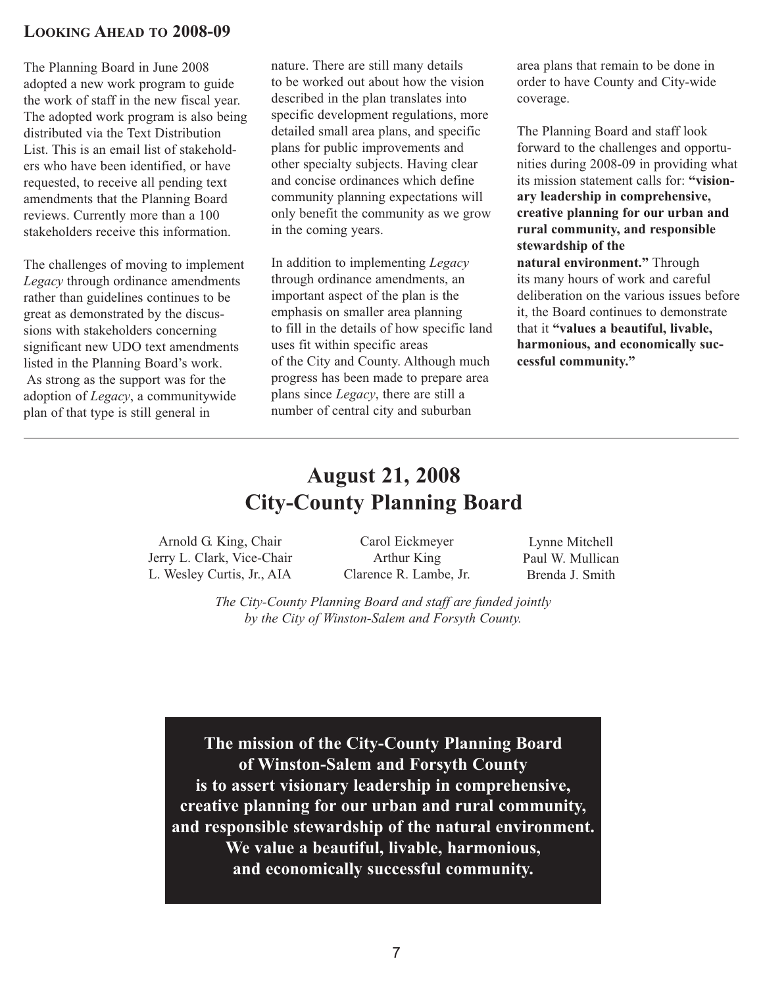#### **LOOKING AHEAD TO 2008-09**

The Planning Board in June 2008 adopted a new work program to guide the work of staff in the new fiscal year. The adopted work program is also being distributed via the Text Distribution List. This is an email list of stakeholders who have been identified, or have requested, to receive all pending text amendments that the Planning Board reviews. Currently more than a 100 stakeholders receive this information.

The challenges of moving to implement *Legacy* through ordinance amendments rather than guidelines continues to be great as demonstrated by the discussions with stakeholders concerning significant new UDO text amendments listed in the Planning Board's work. As strong as the support was for the adoption of *Legacy*, a communitywide plan of that type is still general in

nature. There are still many details to be worked out about how the vision described in the plan translates into specific development regulations, more detailed small area plans, and specific plans for public improvements and other specialty subjects. Having clear and concise ordinances which define community planning expectations will only benefit the community as we grow in the coming years.

In addition to implementing *Legacy* through ordinance amendments, an important aspect of the plan is the emphasis on smaller area planning to fill in the details of how specific land uses fit within specific areas of the City and County. Although much progress has been made to prepare area plans since *Legacy*, there are still a number of central city and suburban

area plans that remain to be done in order to have County and City-wide coverage.

The Planning Board and staff look forward to the challenges and opportunities during 2008-09 in providing what its mission statement calls for: **"visionary leadership in comprehensive, creative planning for our urban and rural community, and responsible stewardship of the natural environment."** Through its many hours of work and careful deliberation on the various issues before

it, the Board continues to demonstrate that it **"values a beautiful, livable, harmonious, and economically successful community."**

# **August 21, 2008 City-County Planning Board**

Arnold G. King, Chair Jerry L. Clark, Vice-Chair L. Wesley Curtis, Jr., AIA

Carol Eickmeyer Arthur King Clarence R. Lambe, Jr.

Lynne Mitchell Paul W. Mullican Brenda J. Smith

*The City-County Planning Board and staff are funded jointly by the City of Winston-Salem and Forsyth County.*

**The mission of the City-County Planning Board of Winston-Salem and Forsyth County is to assert visionary leadership in comprehensive, creative planning for our urban and rural community, and responsible stewardship of the natural environment. We value a beautiful, livable, harmonious, and economically successful community.**